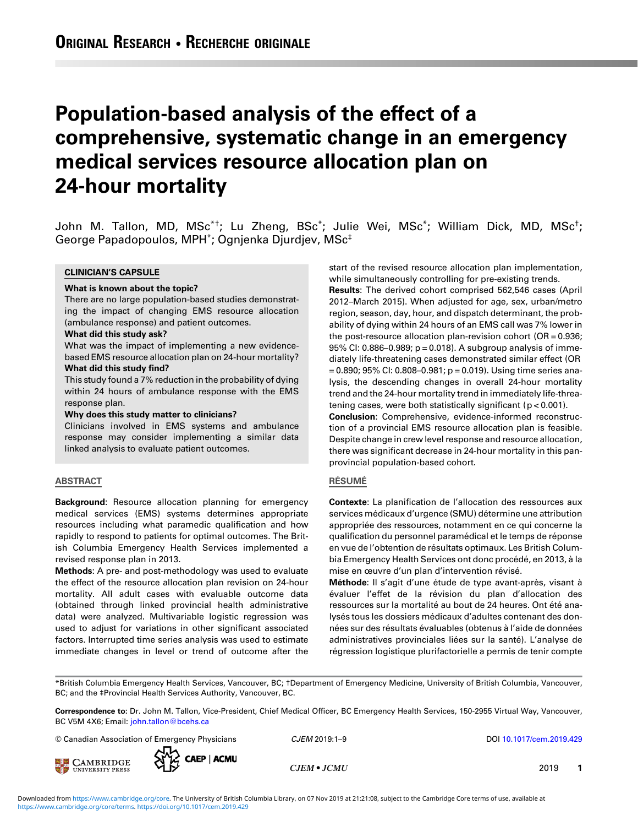# Population-based analysis of the effect of a comprehensive, systematic change in an emergency medical services resource allocation plan on 24-hour mortality

John M. Tallon, MD, MSc\*†; Lu Zheng, BSc\*; Julie Wei, MSc\*; William Dick, MD, MSc†; George Papadopoulos, MPH\*; Ognjenka Djurdjev, MSc‡

#### CLINICIAN'S CAPSULE

#### What is known about the topic?

There are no large population-based studies demonstrating the impact of changing EMS resource allocation (ambulance response) and patient outcomes.

#### What did this study ask?

What was the impact of implementing a new evidencebased EMS resource allocation plan on 24-hour mortality?

## What did this study find?

This study found a 7% reduction in the probability of dying within 24 hours of ambulance response with the EMS response plan.

#### Why does this study matter to clinicians?

Clinicians involved in EMS systems and ambulance response may consider implementing a similar data linked analysis to evaluate patient outcomes.

#### ABSTRACT

Background: Resource allocation planning for emergency medical services (EMS) systems determines appropriate resources including what paramedic qualification and how rapidly to respond to patients for optimal outcomes. The British Columbia Emergency Health Services implemented a revised response plan in 2013.

Methods: A pre- and post-methodology was used to evaluate the effect of the resource allocation plan revision on 24-hour mortality. All adult cases with evaluable outcome data (obtained through linked provincial health administrative data) were analyzed. Multivariable logistic regression was used to adjust for variations in other significant associated factors. Interrupted time series analysis was used to estimate immediate changes in level or trend of outcome after the start of the revised resource allocation plan implementation, while simultaneously controlling for pre-existing trends.

Results: The derived cohort comprised 562,546 cases (April 2012–March 2015). When adjusted for age, sex, urban/metro region, season, day, hour, and dispatch determinant, the probability of dying within 24 hours of an EMS call was 7% lower in the post-resource allocation plan-revision cohort  $(OR = 0.936)$ 95% CI: 0.886–0.989; p = 0.018). A subgroup analysis of immediately life-threatening cases demonstrated similar effect (OR  $= 0.890$ ; 95% CI: 0.808–0.981; p = 0.019). Using time series analysis, the descending changes in overall 24-hour mortality trend and the 24-hour mortality trend in immediately life-threatening cases, were both statistically significant (p < 0.001). Conclusion: Comprehensive, evidence-informed reconstruction of a provincial EMS resource allocation plan is feasible. Despite change in crew level response and resource allocation,

there was significant decrease in 24-hour mortality in this panprovincial population-based cohort.

## RÉSUMÉ

Contexte: La planification de l'allocation des ressources aux services médicaux d'urgence (SMU) détermine une attribution appropriée des ressources, notamment en ce qui concerne la qualification du personnel paramédical et le temps de réponse en vue de l'obtention de résultats optimaux. Les British Columbia Emergency Health Services ont donc procédé, en 2013, à la mise en œuvre d'un plan d'intervention révisé.

Méthode: Il s'agit d'une étude de type avant-après, visant à évaluer l'effet de la révision du plan d'allocation des ressources sur la mortalité au bout de 24 heures. Ont été analysés tous les dossiers médicaux d'adultes contenant des données sur des résultats évaluables (obtenus à l'aide de données administratives provinciales liées sur la santé). L'analyse de régression logistique plurifactorielle a permis de tenir compte

\*British Columbia Emergency Health Services, Vancouver, BC; †Department of Emergency Medicine, University of British Columbia, Vancouver, BC; and the ‡Provincial Health Services Authority, Vancouver, BC.

Correspondence to: Dr. John M. Tallon, Vice-President, Chief Medical Officer, BC Emergency Health Services, 150-2955 Virtual Way, Vancouver, BC V5M 4X6; Email: [john.tallon@bcehs.ca](mailto:john.tallon@bcehs.ca)

© Canadian Association of Emergency Physicians **CJEM 2019:1–9** DOI [10.1017/cem.2019.429](https://doi.org/10.1017/cem.2019.429)





 $CJEM \bullet JCMU$  2019 1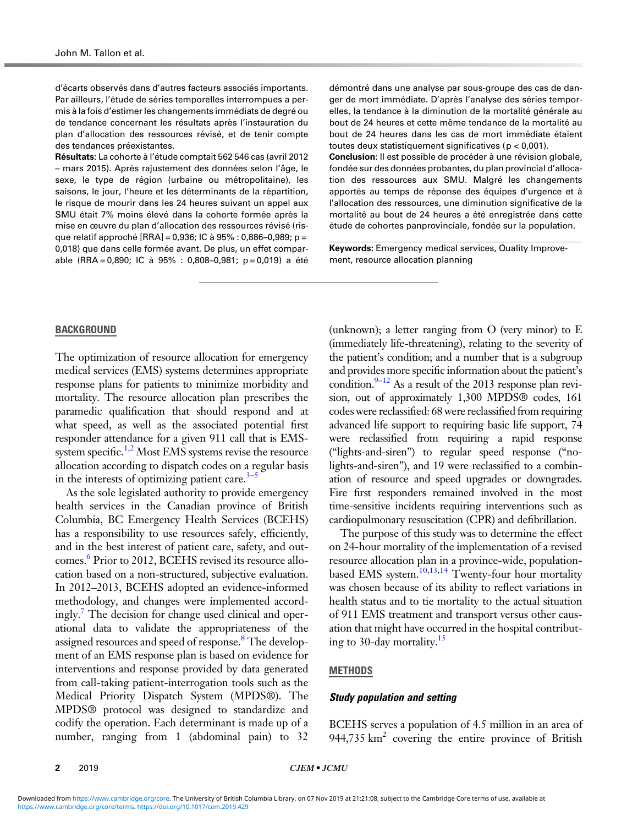d'écarts observés dans d'autres facteurs associés importants. Par ailleurs, l'étude de séries temporelles interrompues a permis à la fois d'estimer les changements immédiats de degré ou de tendance concernant les résultats après l'instauration du plan d'allocation des ressources révisé, et de tenir compte des tendances préexistantes.

Résultats: La cohorte à l'étude comptait 562 546 cas (avril 2012 – mars 2015). Après rajustement des données selon l'âge, le sexe, le type de région (urbaine ou métropolitaine), les saisons, le jour, l'heure et les déterminants de la répartition, le risque de mourir dans les 24 heures suivant un appel aux SMU était 7% moins élevé dans la cohorte formée après la mise en œuvre du plan d'allocation des ressources révisé (risque relatif approché [RRA] = 0,936; IC à 95% : 0,886–0,989; p = 0,018) que dans celle formée avant. De plus, un effet comparable (RRA = 0,890; IC à 95% : 0,808–0,981; p = 0,019) a été

BACKGROUND

The optimization of resource allocation for emergency medical services (EMS) systems determines appropriate response plans for patients to minimize morbidity and mortality. The resource allocation plan prescribes the paramedic qualification that should respond and at what speed, as well as the associated potential first responder attendance for a given 911 call that is EMS-system specific.<sup>[1,2](#page-7-0)</sup> Most EMS systems revise the resource allocation according to dispatch codes on a regular basis in the interests of optimizing patient care. $3-5$  $3-5$ 

As the sole legislated authority to provide emergency health services in the Canadian province of British Columbia, BC Emergency Health Services (BCEHS) has a responsibility to use resources safely, efficiently, and in the best interest of patient care, safety, and outcomes.<sup>6</sup> Prior to 2012, BCEHS revised its resource allocation based on a non-structured, subjective evaluation. In 2012–2013, BCEHS adopted an evidence-informed methodology, and changes were implemented accordingly.<sup>7</sup> The decision for change used clinical and operational data to validate the appropriateness of the assigned resources and speed of response.<sup>8</sup> The development of an EMS response plan is based on evidence for interventions and response provided by data generated from call-taking patient-interrogation tools such as the Medical Priority Dispatch System (MPDS®). The MPDS® protocol was designed to standardize and codify the operation. Each determinant is made up of a number, ranging from 1 (abdominal pain) to 32

démontré dans une analyse par sous-groupe des cas de danger de mort immédiate. D'après l'analyse des séries temporelles, la tendance à la diminution de la mortalité générale au bout de 24 heures et cette même tendance de la mortalité au bout de 24 heures dans les cas de mort immédiate étaient toutes deux statistiquement significatives (p < 0,001).

Conclusion: Il est possible de procéder à une révision globale, fondée sur des données probantes, du plan provincial d'allocation des ressources aux SMU. Malgré les changements apportés au temps de réponse des équipes d'urgence et à l'allocation des ressources, une diminution significative de la mortalité au bout de 24 heures a été enregistrée dans cette étude de cohortes panprovinciale, fondée sur la population.

Keywords: Emergency medical services, Quality Improvement, resource allocation planning

(unknown); a letter ranging from O (very minor) to E (immediately life-threatening), relating to the severity of the patient's condition; and a number that is a subgroup and provides more specific information about the patient's condition.<sup>9–[12](#page-8-0)</sup> As a result of the 2013 response plan revision, out of approximately 1,300 MPDS® codes, 161 codes were reclassified: 68 were reclassified from requiring advanced life support to requiring basic life support, 74 were reclassified from requiring a rapid response ("lights-and-siren") to regular speed response ("nolights-and-siren"), and 19 were reclassified to a combination of resource and speed upgrades or downgrades. Fire first responders remained involved in the most time-sensitive incidents requiring interventions such as cardiopulmonary resuscitation (CPR) and defibrillation.

The purpose of this study was to determine the effect on 24-hour mortality of the implementation of a revised resource allocation plan in a province-wide, populationbased EMS system.<sup>10,13,14</sup> Twenty-four hour mortality was chosen because of its ability to reflect variations in health status and to tie mortality to the actual situation of 911 EMS treatment and transport versus other causation that might have occurred in the hospital contributing to 30-day mortality.<sup>15</sup>

#### **METHODS**

#### Study population and setting

BCEHS serves a population of 4.5 million in an area of 944,735 km<sup>2</sup> covering the entire province of British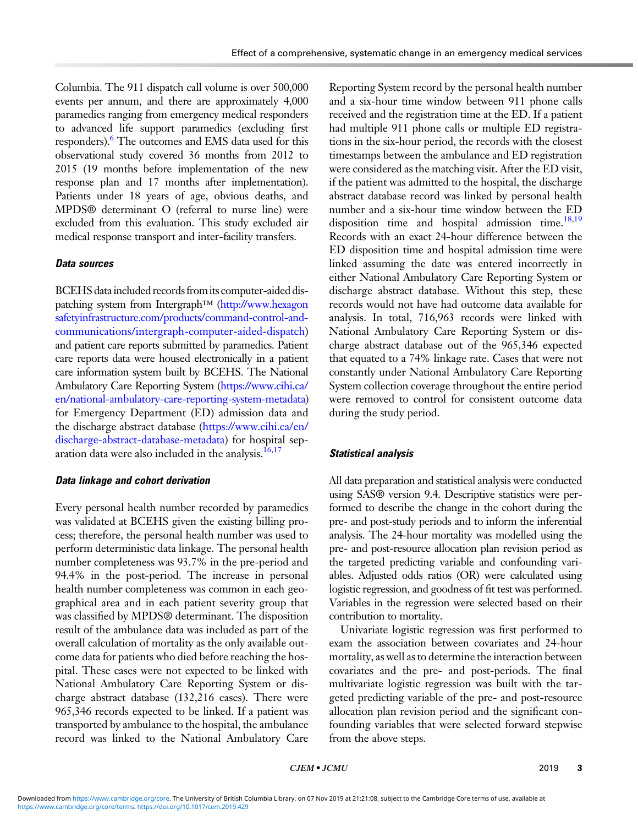Columbia. The 911 dispatch call volume is over 500,000 events per annum, and there are approximately 4,000 paramedics ranging from emergency medical responders to advanced life support paramedics (excluding first responders).<sup>6</sup> The outcomes and EMS data used for this observational study covered 36 months from 2012 to 2015 (19 months before implementation of the new response plan and 17 months after implementation). Patients under 18 years of age, obvious deaths, and MPDS® determinant O (referral to nurse line) were excluded from this evaluation. This study excluded air medical response transport and inter-facility transfers.

# Data sources

BCEHS data included records fromits computer-aided dis-patching system from Intergraph™ [\(http://www.hexagon](http://www.hexagonsafetyinfrastructure.com/products/command-control-and-communications/intergraph-computer-aided-dispatch) [safetyinfrastructure.com/products/command-control-and](http://www.hexagonsafetyinfrastructure.com/products/command-control-and-communications/intergraph-computer-aided-dispatch)[communications/intergraph-computer-aided-dispatch\)](http://www.hexagonsafetyinfrastructure.com/products/command-control-and-communications/intergraph-computer-aided-dispatch) and patient care reports submitted by paramedics. Patient care reports data were housed electronically in a patient care information system built by BCEHS. The National Ambulatory Care Reporting System ([https://www.cihi.ca/](https://www.cihi.ca/en/national-ambulatory-care-reporting-system-metadata) [en/national-ambulatory-care-reporting-system-metadata](https://www.cihi.ca/en/national-ambulatory-care-reporting-system-metadata)) for Emergency Department (ED) admission data and the discharge abstract database [\(https://www.cihi.ca/en/](https://www.cihi.ca/en/discharge-abstract-database-metadata) [discharge-abstract-database-metadata\)](https://www.cihi.ca/en/discharge-abstract-database-metadata) for hospital sep-aration data were also included in the analysis.<sup>[16,17](#page-8-0)</sup>

# Data linkage and cohort derivation

Every personal health number recorded by paramedics was validated at BCEHS given the existing billing process; therefore, the personal health number was used to perform deterministic data linkage. The personal health number completeness was 93.7% in the pre-period and 94.4% in the post-period. The increase in personal health number completeness was common in each geographical area and in each patient severity group that was classified by MPDS® determinant. The disposition result of the ambulance data was included as part of the overall calculation of mortality as the only available outcome data for patients who died before reaching the hospital. These cases were not expected to be linked with National Ambulatory Care Reporting System or discharge abstract database (132,216 cases). There were 965,346 records expected to be linked. If a patient was transported by ambulance to the hospital, the ambulance record was linked to the National Ambulatory Care Reporting System record by the personal health number and a six-hour time window between 911 phone calls received and the registration time at the ED. If a patient had multiple 911 phone calls or multiple ED registrations in the six-hour period, the records with the closest timestamps between the ambulance and ED registration were considered as the matching visit. After the ED visit, if the patient was admitted to the hospital, the discharge abstract database record was linked by personal health number and a six-hour time window between the ED disposition time and hospital admission time.<sup>[18](#page-8-0),[19](#page-8-0)</sup> Records with an exact 24-hour difference between the ED disposition time and hospital admission time were linked assuming the date was entered incorrectly in either National Ambulatory Care Reporting System or discharge abstract database. Without this step, these records would not have had outcome data available for analysis. In total, 716,963 records were linked with National Ambulatory Care Reporting System or discharge abstract database out of the 965,346 expected that equated to a 74% linkage rate. Cases that were not constantly under National Ambulatory Care Reporting System collection coverage throughout the entire period were removed to control for consistent outcome data during the study period.

# Statistical analysis

All data preparation and statistical analysis were conducted using SAS® version 9.4. Descriptive statistics were performed to describe the change in the cohort during the pre- and post-study periods and to inform the inferential analysis. The 24-hour mortality was modelled using the pre- and post-resource allocation plan revision period as the targeted predicting variable and confounding variables. Adjusted odds ratios (OR) were calculated using logistic regression, and goodness of fit test was performed. Variables in the regression were selected based on their contribution to mortality.

Univariate logistic regression was first performed to exam the association between covariates and 24-hour mortality, as well as to determine the interaction between covariates and the pre- and post-periods. The final multivariate logistic regression was built with the targeted predicting variable of the pre- and post-resource allocation plan revision period and the significant confounding variables that were selected forward stepwise from the above steps.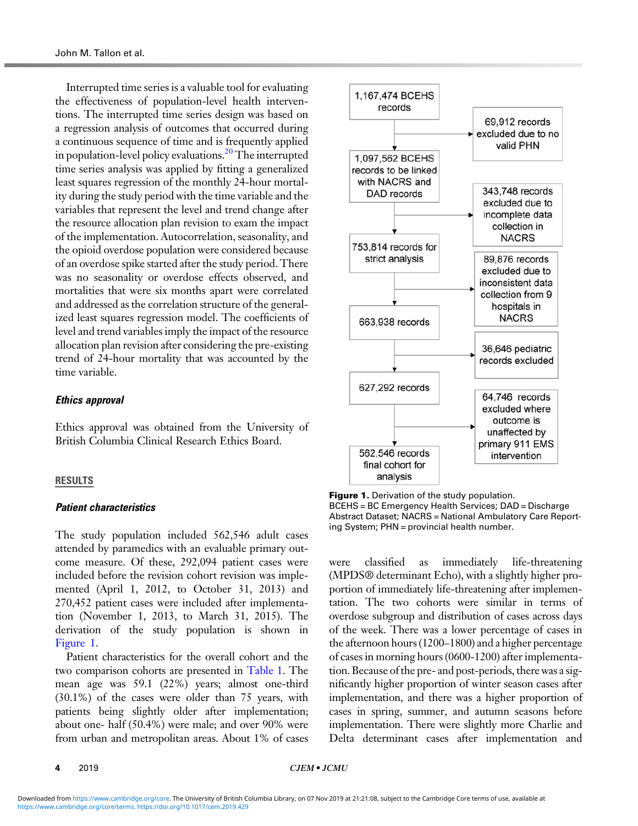Interrupted time series is a valuable tool for evaluating the effectiveness of population-level health interventions. The interrupted time series design was based on a regression analysis of outcomes that occurred during a continuous sequence of time and is frequently applied in population-level policy evaluations.<sup>[20](#page-8-0)</sup> The interrupted time series analysis was applied by fitting a generalized least squares regression of the monthly 24-hour mortality during the study period with the time variable and the variables that represent the level and trend change after the resource allocation plan revision to exam the impact of the implementation. Autocorrelation, seasonality, and the opioid overdose population were considered because of an overdose spike started after the study period. There was no seasonality or overdose effects observed, and mortalities that were six months apart were correlated and addressed as the correlation structure of the generalized least squares regression model. The coefficients of level and trend variables imply the impact of the resource allocation plan revision after considering the pre-existing trend of 24-hour mortality that was accounted by the time variable.

## Ethics approval

Ethics approval was obtained from the University of British Columbia Clinical Research Ethics Board.

#### RESULTS

#### Patient characteristics

The study population included 562,546 adult cases attended by paramedics with an evaluable primary outcome measure. Of these, 292,094 patient cases were included before the revision cohort revision was implemented (April 1, 2012, to October 31, 2013) and 270,452 patient cases were included after implementation (November 1, 2013, to March 31, 2015). The derivation of the study population is shown in Figure 1.

Patient characteristics for the overall cohort and the two comparison cohorts are presented in [Table 1](#page-4-0). The mean age was 59.1 (22%) years; almost one-third (30.1%) of the cases were older than 75 years, with patients being slightly older after implementation; about one- half (50.4%) were male; and over 90% were from urban and metropolitan areas. About 1% of cases



**Figure 1.** Derivation of the study population. BCEHS = BC Emergency Health Services; DAD = Discharge Abstract Dataset; NACRS = National Ambulatory Care Reporting System; PHN = provincial health number.

were classified as immediately life-threatening (MPDS® determinant Echo), with a slightly higher proportion of immediately life-threatening after implementation. The two cohorts were similar in terms of overdose subgroup and distribution of cases across days of the week. There was a lower percentage of cases in the afternoon hours (1200–1800) and a higher percentage of cases in morning hours (0600-1200) after implementation. Because of the pre- and post-periods, there was a significantly higher proportion of winter season cases after implementation, and there was a higher proportion of cases in spring, summer, and autumn seasons before implementation. There were slightly more Charlie and Delta determinant cases after implementation and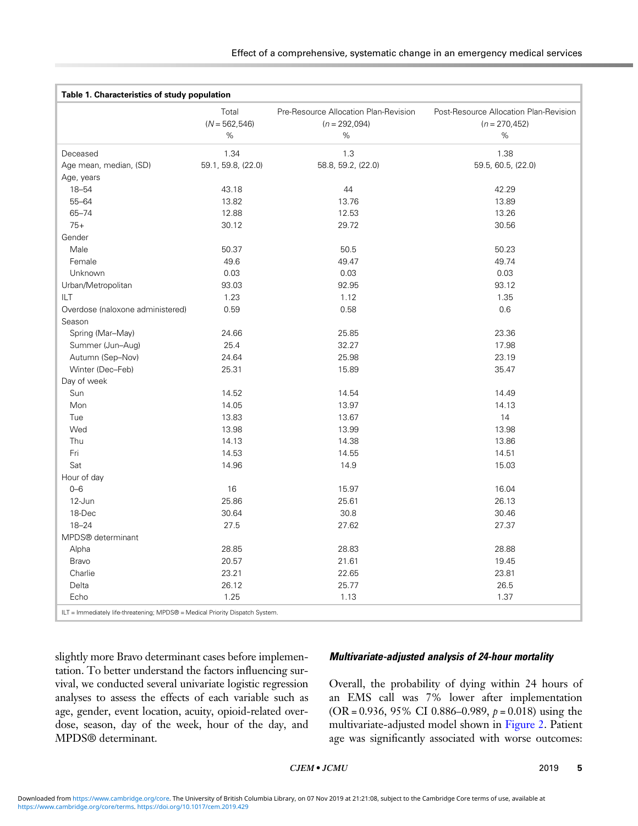<span id="page-4-0"></span>

| Table 1. Characteristics of study population |                    |                                       |                                        |
|----------------------------------------------|--------------------|---------------------------------------|----------------------------------------|
|                                              | Total              | Pre-Resource Allocation Plan-Revision | Post-Resource Allocation Plan-Revision |
|                                              | $(N = 562, 546)$   | $(n = 292,094)$<br>$\%$               | $(n = 270, 452)$<br>$\%$               |
|                                              | %                  |                                       |                                        |
| Deceased                                     | 1.34               | 1.3                                   | 1.38                                   |
| Age mean, median, (SD)                       | 59.1, 59.8, (22.0) | 58.8, 59.2, (22.0)                    | 59.5, 60.5, (22.0)                     |
| Age, years                                   |                    |                                       |                                        |
| 18-54                                        | 43.18              | 44                                    | 42.29                                  |
| $55 - 64$                                    | 13.82              | 13.76                                 | 13.89                                  |
| $65 - 74$                                    | 12.88              | 12.53                                 | 13.26                                  |
| $75+$                                        | 30.12              | 29.72                                 | 30.56                                  |
| Gender                                       |                    |                                       |                                        |
| Male                                         | 50.37              | 50.5                                  | 50.23                                  |
| Female                                       | 49.6               | 49.47                                 | 49.74                                  |
| Unknown                                      | 0.03               | 0.03                                  | 0.03                                   |
| Urban/Metropolitan                           | 93.03              | 92.95                                 | 93.12                                  |
| ILT                                          | 1.23               | 1.12                                  | 1.35                                   |
| Overdose (naloxone administered)             | 0.59               | 0.58                                  | 0.6                                    |
| Season                                       |                    |                                       |                                        |
| Spring (Mar-May)                             | 24.66              | 25.85                                 | 23.36                                  |
| Summer (Jun-Aug)                             | 25.4               | 32.27                                 | 17.98                                  |
| Autumn (Sep-Nov)                             | 24.64              | 25.98                                 | 23.19                                  |
| Winter (Dec-Feb)                             | 25.31              | 15.89                                 | 35.47                                  |
| Day of week                                  |                    |                                       |                                        |
| Sun                                          | 14.52              | 14.54                                 | 14.49                                  |
| Mon                                          | 14.05              | 13.97                                 | 14.13                                  |
| Tue                                          | 13.83              | 13.67                                 | 14                                     |
| Wed                                          | 13.98              | 13.99                                 | 13.98                                  |
| Thu                                          | 14.13              | 14.38                                 | 13.86                                  |
| Fri                                          | 14.53              | 14.55                                 | 14.51                                  |
| Sat                                          | 14.96              | 14.9                                  | 15.03                                  |
| Hour of day                                  |                    |                                       |                                        |
| $0 - 6$                                      | 16                 | 15.97                                 | 16.04                                  |
| 12-Jun                                       | 25.86              | 25.61                                 | 26.13                                  |
| 18-Dec                                       | 30.64              | 30.8                                  | 30.46                                  |
| $18 - 24$                                    | 27.5               | 27.62                                 | 27.37                                  |
| MPDS® determinant                            |                    |                                       |                                        |
| Alpha                                        | 28.85              | 28.83                                 | 28.88                                  |
| Bravo                                        | 20.57              | 21.61                                 | 19.45                                  |
| Charlie                                      | 23.21              | 22.65                                 | 23.81                                  |
| Delta                                        | 26.12              | 25.77                                 | 26.5                                   |
| Echo                                         | 1.25               | 1.13                                  | 1.37                                   |

slightly more Bravo determinant cases before implementation. To better understand the factors influencing survival, we conducted several univariate logistic regression analyses to assess the effects of each variable such as age, gender, event location, acuity, opioid-related overdose, season, day of the week, hour of the day, and MPDS® determinant.

# Multivariate-adjusted analysis of 24-hour mortality

Overall, the probability of dying within 24 hours of an EMS call was 7% lower after implementation (OR = 0.936, 95% CI 0.886–0.989,  $p = 0.018$ ) using the multivariate-adjusted model shown in [Figure 2](#page-5-0). Patient age was significantly associated with worse outcomes: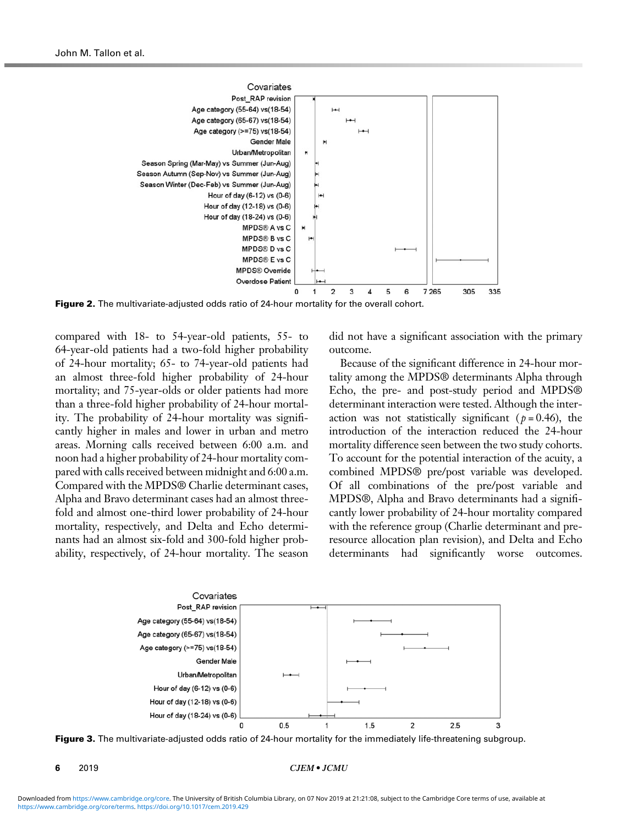<span id="page-5-0"></span>

Figure 2. The multivariate-adjusted odds ratio of 24-hour mortality for the overall cohort.

compared with 18- to 54-year-old patients, 55- to 64-year-old patients had a two-fold higher probability of 24-hour mortality; 65- to 74-year-old patients had an almost three-fold higher probability of 24-hour mortality; and 75-year-olds or older patients had more than a three-fold higher probability of 24-hour mortality. The probability of 24-hour mortality was significantly higher in males and lower in urban and metro areas. Morning calls received between 6:00 a.m. and noon had a higher probability of 24-hour mortality compared with calls received between midnight and 6:00 a.m. Compared with the MPDS® Charlie determinant cases, Alpha and Bravo determinant cases had an almost threefold and almost one-third lower probability of 24-hour mortality, respectively, and Delta and Echo determinants had an almost six-fold and 300-fold higher probability, respectively, of 24-hour mortality. The season did not have a significant association with the primary outcome.

Because of the significant difference in 24-hour mortality among the MPDS® determinants Alpha through Echo, the pre- and post-study period and MPDS® determinant interaction were tested. Although the interaction was not statistically significant ( $p = 0.46$ ), the introduction of the interaction reduced the 24-hour mortality difference seen between the two study cohorts. To account for the potential interaction of the acuity, a combined MPDS® pre/post variable was developed. Of all combinations of the pre/post variable and MPDS®, Alpha and Bravo determinants had a significantly lower probability of 24-hour mortality compared with the reference group (Charlie determinant and preresource allocation plan revision), and Delta and Echo determinants had significantly worse outcomes.



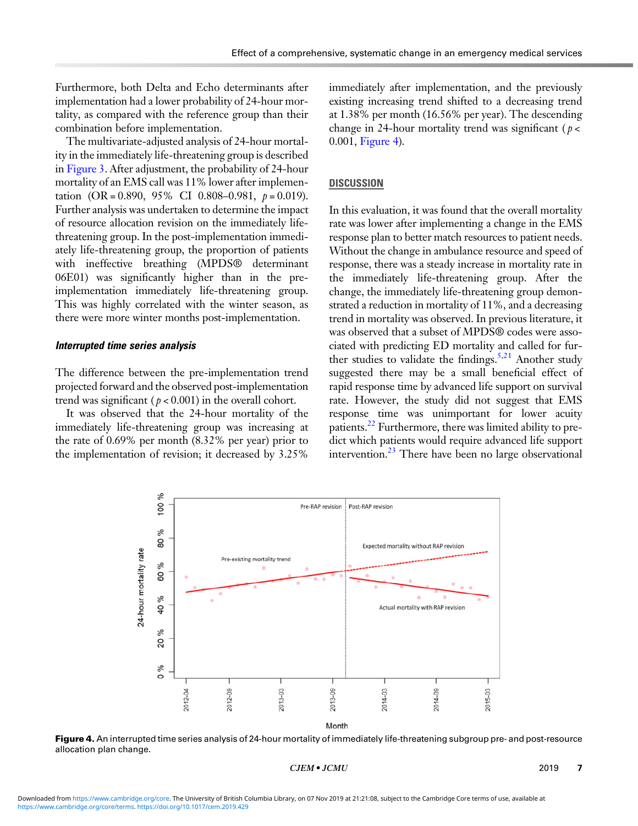Furthermore, both Delta and Echo determinants after implementation had a lower probability of 24-hour mortality, as compared with the reference group than their combination before implementation.

The multivariate-adjusted analysis of 24-hour mortality in the immediately life-threatening group is described in [Figure 3](#page-5-0). After adjustment, the probability of 24-hour mortality of an EMS call was 11% lower after implementation  $(OR = 0.890, 95\% \text{ CI } 0.808 - 0.981, p = 0.019).$ Further analysis was undertaken to determine the impact of resource allocation revision on the immediately lifethreatening group. In the post-implementation immediately life-threatening group, the proportion of patients with ineffective breathing (MPDS® determinant 06E01) was significantly higher than in the preimplementation immediately life-threatening group. This was highly correlated with the winter season, as there were more winter months post-implementation.

#### Interrupted time series analysis

The difference between the pre-implementation trend projected forward and the observed post-implementation trend was significant ( $p < 0.001$ ) in the overall cohort.

It was observed that the 24-hour mortality of the immediately life-threatening group was increasing at the rate of 0.69% per month (8.32% per year) prior to the implementation of revision; it decreased by 3.25%

immediately after implementation, and the previously existing increasing trend shifted to a decreasing trend at 1.38% per month (16.56% per year). The descending change in 24-hour mortality trend was significant ( $p <$ 0.001, Figure 4).

# **DISCUSSION**

In this evaluation, it was found that the overall mortality rate was lower after implementing a change in the EMS response plan to better match resources to patient needs. Without the change in ambulance resource and speed of response, there was a steady increase in mortality rate in the immediately life-threatening group. After the change, the immediately life-threatening group demonstrated a reduction in mortality of 11%, and a decreasing trend in mortality was observed. In previous literature, it was observed that a subset of MPDS® codes were associated with predicting ED mortality and called for fur-ther studies to validate the findings.<sup>5[,21](#page-8-0)</sup> Another study suggested there may be a small beneficial effect of rapid response time by advanced life support on survival rate. However, the study did not suggest that EMS response time was unimportant for lower acuity patients.<sup>[22](#page-8-0)</sup> Furthermore, there was limited ability to predict which patients would require advanced life support intervention.<sup>23</sup> There have been no large observational



Figure 4. An interrupted time series analysis of 24-hour mortality of immediately life-threatening subgroup pre- and post-resource allocation plan change.

 $CJEM \bullet JCMU$  2019 7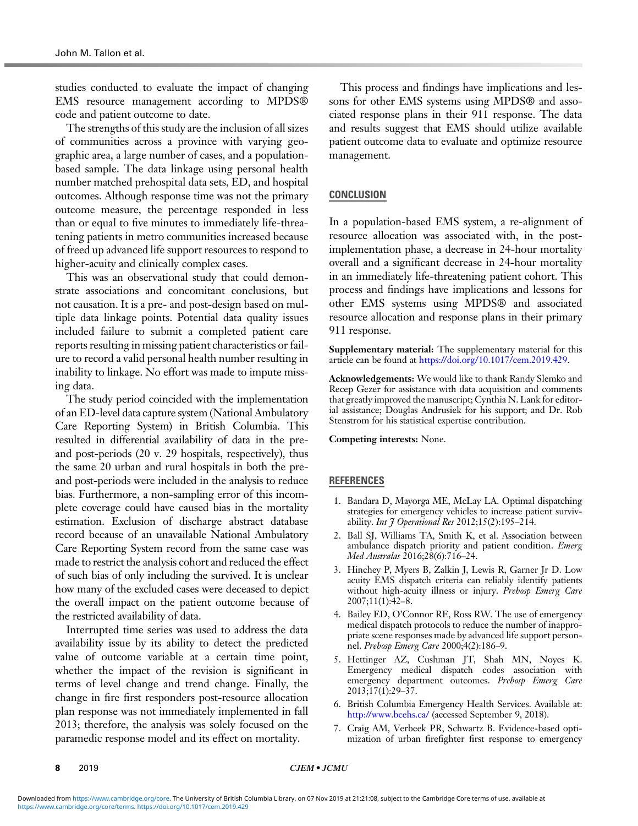<span id="page-7-0"></span>studies conducted to evaluate the impact of changing EMS resource management according to MPDS® code and patient outcome to date.

The strengths of this study are the inclusion of all sizes of communities across a province with varying geographic area, a large number of cases, and a populationbased sample. The data linkage using personal health number matched prehospital data sets, ED, and hospital outcomes. Although response time was not the primary outcome measure, the percentage responded in less than or equal to five minutes to immediately life-threatening patients in metro communities increased because of freed up advanced life support resources to respond to higher-acuity and clinically complex cases.

This was an observational study that could demonstrate associations and concomitant conclusions, but not causation. It is a pre- and post-design based on multiple data linkage points. Potential data quality issues included failure to submit a completed patient care reports resulting in missing patient characteristics or failure to record a valid personal health number resulting in inability to linkage. No effort was made to impute missing data.

The study period coincided with the implementation of an ED-level data capture system (National Ambulatory Care Reporting System) in British Columbia. This resulted in differential availability of data in the preand post-periods (20 v. 29 hospitals, respectively), thus the same 20 urban and rural hospitals in both the preand post-periods were included in the analysis to reduce bias. Furthermore, a non-sampling error of this incomplete coverage could have caused bias in the mortality estimation. Exclusion of discharge abstract database record because of an unavailable National Ambulatory Care Reporting System record from the same case was made to restrict the analysis cohort and reduced the effect of such bias of only including the survived. It is unclear how many of the excluded cases were deceased to depict the overall impact on the patient outcome because of the restricted availability of data.

Interrupted time series was used to address the data availability issue by its ability to detect the predicted value of outcome variable at a certain time point, whether the impact of the revision is significant in terms of level change and trend change. Finally, the change in fire first responders post-resource allocation plan response was not immediately implemented in fall 2013; therefore, the analysis was solely focused on the paramedic response model and its effect on mortality.

This process and findings have implications and lessons for other EMS systems using MPDS® and associated response plans in their 911 response. The data and results suggest that EMS should utilize available patient outcome data to evaluate and optimize resource management.

# **CONCLUSION**

In a population-based EMS system, a re-alignment of resource allocation was associated with, in the postimplementation phase, a decrease in 24-hour mortality overall and a significant decrease in 24-hour mortality in an immediately life-threatening patient cohort. This process and findings have implications and lessons for other EMS systems using MPDS® and associated resource allocation and response plans in their primary 911 response.

Supplementary material: The supplementary material for this article can be found at [https://doi.org/10.1017/cem.2019.429.](https://doi.org/10.1017/cem.2019.429)

Acknowledgements: We would like to thank Randy Slemko and Recep Gezer for assistance with data acquisition and comments that greatly improved the manuscript; Cynthia N. Lank for editorial assistance; Douglas Andrusiek for his support; and Dr. Rob Stenstrom for his statistical expertise contribution.

Competing interests: None.

## **REFERENCES**

- 1. Bandara D, Mayorga ME, McLay LA. Optimal dispatching strategies for emergency vehicles to increase patient survivability. Int  $\tilde{\jmath}$  Operational Res 2012;15(2):195-214.
- 2. Ball SJ, Williams TA, Smith K, et al. Association between ambulance dispatch priority and patient condition. Emerg Med Australas 2016;28(6):716–24.
- 3. Hinchey P, Myers B, Zalkin J, Lewis R, Garner Jr D. Low acuity EMS dispatch criteria can reliably identify patients without high-acuity illness or injury. Prehosp Emerg Care 2007;11(1):42–8.
- 4. Bailey ED, O'Connor RE, Ross RW. The use of emergency medical dispatch protocols to reduce the number of inappropriate scene responses made by advanced life support personnel. Prehosp Emerg Care 2000;4(2):186–9.
- 5. Hettinger AZ, Cushman JT, Shah MN, Noyes K. Emergency medical dispatch codes association with emergency department outcomes. Prehosp Emerg Care  $2013;17(1):29-\overline{37}.$
- 6. British Columbia Emergency Health Services. Available at: <http://www.bcehs.ca/> (accessed September 9, 2018).
- 7. Craig AM, Verbeek PR, Schwartz B. Evidence-based optimization of urban firefighter first response to emergency